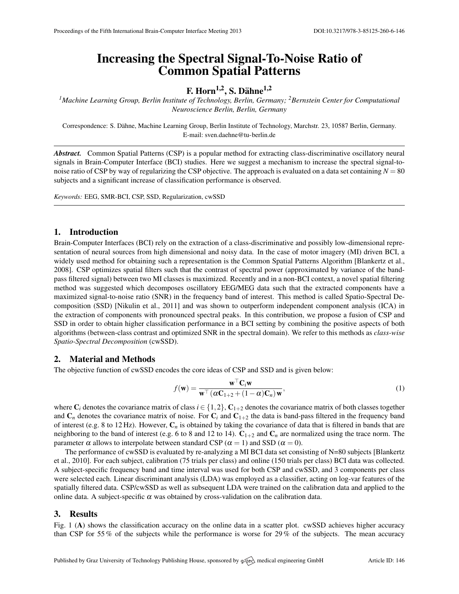# Increasing the Spectral Signal-To-Noise Ratio of Common Spatial Patterns

## F. Horn $^{1,2}$ , S. Dähne $^{1,2}$

*<sup>1</sup>Machine Learning Group, Berlin Institute of Technology, Berlin, Germany; <sup>2</sup>Bernstein Center for Computational Neuroscience Berlin, Berlin, Germany*

Correspondence: S. Dähne, Machine Learning Group, Berlin Institute of Technology, Marchstr. 23, 10587 Berlin, Germany. E-mail: [sven.daehne@tu-berlin.de](mailto:sven.daehne@tu-berlin.de)

*Abstract.* Common Spatial Patterns (CSP) is a popular method for extracting class-discriminative oscillatory neural signals in Brain-Computer Interface (BCI) studies. Here we suggest a mechanism to increase the spectral signal-tonoise ratio of CSP by way of regularizing the CSP objective. The approach is evaluated on a data set containing  $N = 80$ subjects and a significant increase of classification performance is observed.

*Keywords:* EEG, SMR-BCI, CSP, SSD, Regularization, cwSSD

#### 1. Introduction

Brain-Computer Interfaces (BCI) rely on the extraction of a class-discriminative and possibly low-dimensional representation of neural sources from high dimensional and noisy data. In the case of motor imagery (MI) driven BCI, a widely used method for obtaining such a representation is the Common Spatial Patterns Algorithm [\[Blankertz et al.,](#page-1-0) [2008\]](#page-1-0). CSP optimizes spatial filters such that the contrast of spectral power (approximated by variance of the bandpass filtered signal) between two MI classes is maximized. Recently and in a non-BCI context, a novel spatial filtering method was suggested which decomposes oscillatory EEG/MEG data such that the extracted components have a maximized signal-to-noise ratio (SNR) in the frequency band of interest. This method is called Spatio-Spectral Decomposition (SSD) [\[Nikulin et al.,](#page-1-1) [2011\]](#page-1-1) and was shown to outperform independent component analysis (ICA) in the extraction of components with pronounced spectral peaks. In this contribution, we propose a fusion of CSP and SSD in order to obtain higher classification performance in a BCI setting by combining the positive aspects of both algorithms (between-class contrast and optimized SNR in the spectral domain). We refer to this methods as *class-wise Spatio-Spectral Decomposition* (cwSSD).

### 2. Material and Methods

The objective function of cwSSD encodes the core ideas of CSP and SSD and is given below:

$$
f(\mathbf{w}) = \frac{\mathbf{w}^\top \mathbf{C}_i \mathbf{w}}{\mathbf{w}^\top (\alpha \mathbf{C}_{1+2} + (1 - \alpha) \mathbf{C}_n) \mathbf{w}},
$$
\n(1)

where  $C_i$  denotes the covariance matrix of class  $i \in \{1,2\}$ ,  $C_{1+2}$  denotes the covariance matrix of both classes together and  $C_n$  denotes the covariance matrix of noise. For  $C_i$  and  $C_{1+2}$  the data is band-pass filtered in the frequency band of interest (e.g. 8 to 12 Hz). However,  $C_n$  is obtained by taking the covariance of data that is filtered in bands that are neighboring to the band of interest (e.g. 6 to 8 and 12 to 14).  $C_{1+2}$  and  $C_n$  are normalized using the trace norm. The parameter  $\alpha$  allows to interpolate between standard CSP ( $\alpha = 1$ ) and SSD ( $\alpha = 0$ ).

The performance of cwSSD is evaluated by re-analyzing a MI BCI data set consisting of N=80 subjects [\[Blankertz](#page-1-2) [et al.,](#page-1-2) [2010\]](#page-1-2). For each subject, calibration (75 trials per class) and online (150 trials per class) BCI data was collected. A subject-specific frequency band and time interval was used for both CSP and cwSSD, and 3 components per class were selected each. Linear discriminant analysis (LDA) was employed as a classifier, acting on log-var features of the spatially filtered data. CSP/cwSSD as well as subsequent LDA were trained on the calibration data and applied to the online data. A subject-specific  $\alpha$  was obtained by cross-validation on the calibration data.

#### 3. Results

Fig. [1](#page-1-3) (A) shows the classification accuracy on the online data in a scatter plot. cwSSD achieves higher accuracy than CSP for 55 % of the subjects while the performance is worse for 29 % of the subjects. The mean accuracy